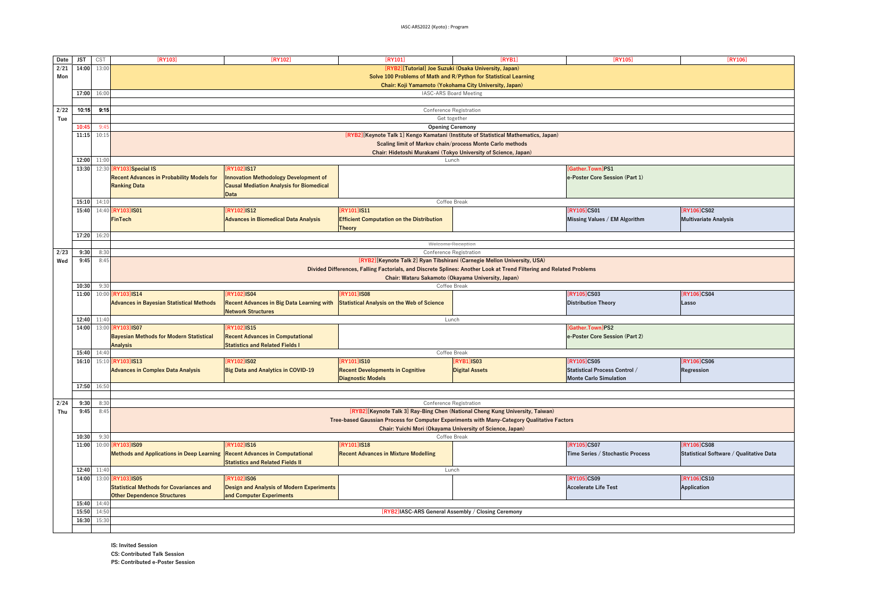| Date                                                                                                                | <b>JST</b>     | CST                                                              | [RY103]                                                                                                                     | [RY102]                                          | [RY101]                                           | [RYB1]                                                                        | [RY105]                          | [RY106]                                 |
|---------------------------------------------------------------------------------------------------------------------|----------------|------------------------------------------------------------------|-----------------------------------------------------------------------------------------------------------------------------|--------------------------------------------------|---------------------------------------------------|-------------------------------------------------------------------------------|----------------------------------|-----------------------------------------|
| 2/21                                                                                                                | 14:00          | 13:00                                                            | [RYB2][Tutorial] Joe Suzuki (Osaka University, Japan)                                                                       |                                                  |                                                   |                                                                               |                                  |                                         |
| Mon                                                                                                                 |                |                                                                  | Solve 100 Problems of Math and R/Python for Statistical Learning                                                            |                                                  |                                                   |                                                                               |                                  |                                         |
| Chair: Koji Yamamoto (Yokohama City University, Japan)                                                              |                |                                                                  |                                                                                                                             |                                                  |                                                   |                                                                               |                                  |                                         |
|                                                                                                                     | 17:00          | 16:00                                                            |                                                                                                                             |                                                  |                                                   | IASC-ARS Board Meeting                                                        |                                  |                                         |
|                                                                                                                     |                |                                                                  |                                                                                                                             |                                                  |                                                   |                                                                               |                                  |                                         |
| 2/22                                                                                                                | 10:15          | 9:15                                                             |                                                                                                                             |                                                  |                                                   | Conference Registration                                                       |                                  |                                         |
| Tue                                                                                                                 |                |                                                                  |                                                                                                                             |                                                  |                                                   | Get together                                                                  |                                  |                                         |
|                                                                                                                     | 10:45          | 9:45                                                             | <b>Opening Ceremony</b>                                                                                                     |                                                  |                                                   |                                                                               |                                  |                                         |
|                                                                                                                     | 11:15          | 10:15                                                            | [RYB2][Keynote Talk 1] Kengo Kamatani (Institute of Statistical Mathematics, Japan)                                         |                                                  |                                                   |                                                                               |                                  |                                         |
|                                                                                                                     |                |                                                                  | Scaling limit of Markov chain/process Monte Carlo methods                                                                   |                                                  |                                                   |                                                                               |                                  |                                         |
|                                                                                                                     |                | Chair: Hidetoshi Murakami (Tokyo University of Science, Japan)   |                                                                                                                             |                                                  |                                                   |                                                                               |                                  |                                         |
|                                                                                                                     | 12:00          | 11:00                                                            | Lunch                                                                                                                       |                                                  |                                                   |                                                                               |                                  |                                         |
|                                                                                                                     | 13:30          | 12:30 [RY103] Special IS<br><b>RY1021IS17</b><br>Gather.TownlPS1 |                                                                                                                             |                                                  |                                                   |                                                                               |                                  |                                         |
|                                                                                                                     |                |                                                                  | <b>Recent Advances in Probability Models for</b>                                                                            | <b>Innovation Methodology Development of</b>     |                                                   |                                                                               | e-Poster Core Session (Part 1)   |                                         |
|                                                                                                                     |                |                                                                  | <b>Ranking Data</b>                                                                                                         | <b>Causal Mediation Analysis for Biomedical</b>  |                                                   |                                                                               |                                  |                                         |
|                                                                                                                     |                |                                                                  |                                                                                                                             | <b>Data</b>                                      |                                                   |                                                                               |                                  |                                         |
|                                                                                                                     | 15:10          | 14:10                                                            |                                                                                                                             |                                                  |                                                   | Coffee Break                                                                  |                                  |                                         |
|                                                                                                                     | 15:40          |                                                                  | 14:40 [RY103] IS01                                                                                                          | <b>RY1021IS12</b>                                | [RY101]IS11                                       |                                                                               | <b>RY105 CS01</b>                | [RY106]CS02                             |
|                                                                                                                     |                |                                                                  | <b>FinTech</b>                                                                                                              | <b>Advances in Biomedical Data Analysis</b>      | <b>Efficient Computation on the Distribution</b>  |                                                                               | Missing Values / EM Algorithm    | <b>Multivariate Analysis</b>            |
|                                                                                                                     |                |                                                                  |                                                                                                                             |                                                  | <b>Theory</b>                                     |                                                                               |                                  |                                         |
|                                                                                                                     | 17:20          | 16:20                                                            |                                                                                                                             |                                                  |                                                   |                                                                               |                                  |                                         |
|                                                                                                                     |                |                                                                  | Welcome Reception                                                                                                           |                                                  |                                                   |                                                                               |                                  |                                         |
| 2/23                                                                                                                | 9:30           | 8:30                                                             |                                                                                                                             |                                                  |                                                   | Conference Registration                                                       |                                  |                                         |
| Wed                                                                                                                 | 9:45           | 8:45                                                             | [RYB2][Keynote Talk 2] Ryan Tibshirani (Carnegie Mellon University, USA)                                                    |                                                  |                                                   |                                                                               |                                  |                                         |
| Divided Differences, Falling Factorials, and Discrete Splines: Another Look at Trend Filtering and Related Problems |                |                                                                  |                                                                                                                             |                                                  |                                                   |                                                                               |                                  |                                         |
|                                                                                                                     |                | Chair: Wataru Sakamoto (Okayama University, Japan)               |                                                                                                                             |                                                  |                                                   |                                                                               |                                  |                                         |
|                                                                                                                     | 10:30          | 9:30                                                             |                                                                                                                             |                                                  |                                                   | Coffee Break                                                                  |                                  |                                         |
|                                                                                                                     | 11:00          |                                                                  | 10:00 [RY103] IS14                                                                                                          | <b>RY1021IS04</b>                                | <b>RY1011IS08</b>                                 |                                                                               | [RY105]CS03                      | <b>RY106 CS04</b>                       |
|                                                                                                                     |                |                                                                  | <b>Advances in Bayesian Statistical Methods</b>                                                                             | <b>Recent Advances in Big Data Learning with</b> | <b>Statistical Analysis on the Web of Science</b> |                                                                               | <b>Distribution Theory</b>       | Lasso                                   |
|                                                                                                                     |                |                                                                  |                                                                                                                             | <b>Network Structures</b>                        |                                                   |                                                                               |                                  |                                         |
|                                                                                                                     | 12:40          | 11:40                                                            |                                                                                                                             |                                                  |                                                   | Lunch                                                                         |                                  |                                         |
|                                                                                                                     | 14:00          | 13:00 [RY103] IS07<br>[RY102]IS15<br>Gather.Town]PS2             |                                                                                                                             |                                                  |                                                   |                                                                               |                                  |                                         |
|                                                                                                                     |                |                                                                  | <b>Bayesian Methods for Modern Statistical</b><br><b>Recent Advances in Computational</b><br>e-Poster Core Session (Part 2) |                                                  |                                                   |                                                                               |                                  |                                         |
|                                                                                                                     |                | <b>Analysis</b><br><b>Statistics and Related Fields I</b>        |                                                                                                                             |                                                  |                                                   |                                                                               |                                  |                                         |
|                                                                                                                     | 15:40          | 14:40                                                            | Coffee Break                                                                                                                |                                                  |                                                   |                                                                               |                                  |                                         |
|                                                                                                                     | 16:10          |                                                                  | 15:10 [RY103] IS13                                                                                                          | [RY102]IS02                                      | <b>RY101 IS10</b>                                 | <b>RYB1]IS03</b>                                                              | <b>RY105 CS05</b>                | <b>RY106 CS06</b>                       |
|                                                                                                                     |                |                                                                  | <b>Advances in Complex Data Analysis</b>                                                                                    | <b>Big Data and Analytics in COVID-19</b>        | <b>Recent Developments in Cognitive</b>           | <b>Digital Assets</b>                                                         | Statistical Process Control /    | Regression                              |
|                                                                                                                     |                |                                                                  | <b>Diagnostic Models</b><br><b>Monte Carlo Simulation</b>                                                                   |                                                  |                                                   |                                                                               |                                  |                                         |
|                                                                                                                     | 17:50          | 16:50                                                            |                                                                                                                             |                                                  |                                                   |                                                                               |                                  |                                         |
|                                                                                                                     |                |                                                                  |                                                                                                                             |                                                  |                                                   |                                                                               |                                  |                                         |
| 2/24                                                                                                                | 9:30<br>9:45   | 8:30<br>8:45                                                     |                                                                                                                             |                                                  |                                                   | Conference Registration                                                       |                                  |                                         |
| Thu                                                                                                                 |                |                                                                  |                                                                                                                             |                                                  |                                                   | [RYB2][Keynote Talk 3] Ray-Bing Chen (National Cheng Kung University, Taiwan) |                                  |                                         |
|                                                                                                                     |                |                                                                  | Tree-based Gaussian Process for Computer Experiments with Many-Category Qualitative Factors                                 |                                                  |                                                   |                                                                               |                                  |                                         |
|                                                                                                                     |                |                                                                  | Chair: Yuichi Mori (Okayama University of Science, Japan)<br>Coffee Break                                                   |                                                  |                                                   |                                                                               |                                  |                                         |
|                                                                                                                     | 10:30<br>11:00 | 9:30<br>10:00                                                    | <b>RY103 IS09</b>                                                                                                           | [RY102]IS16                                      | [RY101]IS18                                       |                                                                               | <b>RY105 CS07</b>                | [RY106]CS08                             |
|                                                                                                                     |                |                                                                  |                                                                                                                             |                                                  |                                                   |                                                                               |                                  |                                         |
|                                                                                                                     |                |                                                                  | <b>Methods and Applications in Deep Learning</b>                                                                            | <b>Recent Advances in Computational</b>          | <b>Recent Advances in Mixture Modelling</b>       |                                                                               | Time Series / Stochastic Process | Statistical Software / Qualitative Data |
|                                                                                                                     | 12:40          | 11:40                                                            |                                                                                                                             | <b>Statistics and Related Fields II</b>          |                                                   | Lunch                                                                         |                                  |                                         |
|                                                                                                                     | 14:00          | 13:00                                                            | <b>RY103 IS05</b>                                                                                                           | [RY102]IS06                                      |                                                   |                                                                               | [RY105]CS09                      | [RY106]CS10                             |
|                                                                                                                     |                |                                                                  |                                                                                                                             |                                                  |                                                   |                                                                               | <b>Accelerate Life Test</b>      |                                         |
|                                                                                                                     |                |                                                                  | <b>Statistical Methods for Covariances and</b>                                                                              | <b>Design and Analysis of Modern Experiments</b> |                                                   |                                                                               |                                  | Application                             |
|                                                                                                                     | 15:40          | 14:40                                                            | <b>Other Dependence Structures</b>                                                                                          | and Computer Experiments                         |                                                   |                                                                               |                                  |                                         |
|                                                                                                                     | 15:50          | 14:50                                                            | [RYB2]IASC-ARS General Assembly / Closing Ceremony                                                                          |                                                  |                                                   |                                                                               |                                  |                                         |
| 15:30<br>16:30                                                                                                      |                |                                                                  |                                                                                                                             |                                                  |                                                   |                                                                               |                                  |                                         |
|                                                                                                                     |                |                                                                  |                                                                                                                             |                                                  |                                                   |                                                                               |                                  |                                         |
|                                                                                                                     |                |                                                                  |                                                                                                                             |                                                  |                                                   |                                                                               |                                  |                                         |

IS: Invited Session CS: Contributed Talk SessionPS: Contributed e-Poster Session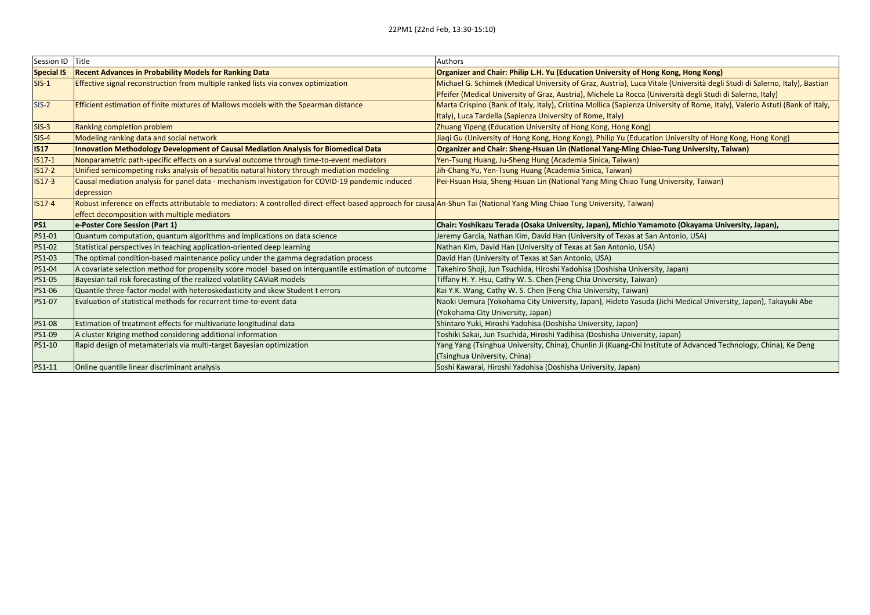| Session ID Title  |                                                                                                                                                                           | Authors                                                                                                                      |
|-------------------|---------------------------------------------------------------------------------------------------------------------------------------------------------------------------|------------------------------------------------------------------------------------------------------------------------------|
| <b>Special IS</b> | <b>Recent Advances in Probability Models for Ranking Data</b>                                                                                                             | Organizer and Chair: Philip L.H. Yu (Education University of Hong Kong, Hong Kong)                                           |
| $SIS-1$           | Effective signal reconstruction from multiple ranked lists via convex optimization                                                                                        | Michael G. Schimek (Medical University of Graz, Austria), Luca Vitale (Università degli Studi di Salerno, Italy), Bastian    |
|                   |                                                                                                                                                                           | Pfeifer (Medical University of Graz, Austria), Michele La Rocca (Università degli Studi di Salerno, Italy)                   |
| $SIS-2$           | <b>Efficient estimation of finite mixtures of Mallows models with the Spearman distance</b>                                                                               | Marta Crispino (Bank of Italy, Italy), Cristina Mollica (Sapienza University of Rome, Italy), Valerio Astuti (Bank of Italy, |
|                   |                                                                                                                                                                           | Italy), Luca Tardella (Sapienza University of Rome, Italy)                                                                   |
| $SIS-3$           | Ranking completion problem                                                                                                                                                | Zhuang Yipeng (Education University of Hong Kong, Hong Kong)                                                                 |
| SIS-4             | Modeling ranking data and social network                                                                                                                                  | Jiaqi Gu (University of Hong Kong, Hong Kong), Philip Yu (Education University of Hong Kong, Hong Kong)                      |
| <b>IS17</b>       | Innovation Methodology Development of Causal Mediation Analysis for Biomedical Data                                                                                       | Organizer and Chair: Sheng-Hsuan Lin (National Yang-Ming Chiao-Tung University, Taiwan)                                      |
| $IS17-1$          | Nonparametric path-specific effects on a survival outcome through time-to-event mediators                                                                                 | Yen-Tsung Huang, Ju-Sheng Hung (Academia Sinica, Taiwan)                                                                     |
| $IS17-2$          | Unified semicompeting risks analysis of hepatitis natural history through mediation modeling                                                                              | Jih-Chang Yu, Yen-Tsung Huang (Academia Sinica, Taiwan)                                                                      |
| $IS17-3$          | Causal mediation analysis for panel data - mechanism investigation for COVID-19 pandemic induced                                                                          | Pei-Hsuan Hsia, Sheng-Hsuan Lin (National Yang Ming Chiao Tung University, Taiwan)                                           |
|                   | depression                                                                                                                                                                |                                                                                                                              |
| $IS17-4$          | Robust inference on effects attributable to mediators: A controlled-direct-effect-based approach for causa An-Shun Tai (National Yang Ming Chiao Tung University, Taiwan) |                                                                                                                              |
|                   | effect decomposition with multiple mediators                                                                                                                              |                                                                                                                              |
| <b>PS1</b>        | e-Poster Core Session (Part 1)                                                                                                                                            | Chair: Yoshikazu Terada (Osaka University, Japan), Michio Yamamoto (Okayama University, Japan),                              |
| PS1-01            | Quantum computation, quantum algorithms and implications on data science                                                                                                  | Jeremy Garcia, Nathan Kim, David Han (University of Texas at San Antonio, USA)                                               |
| PS1-02            | Statistical perspectives in teaching application-oriented deep learning                                                                                                   | Nathan Kim, David Han (University of Texas at San Antonio, USA)                                                              |
| <b>PS1-03</b>     | The optimal condition-based maintenance policy under the gamma degradation process                                                                                        | David Han (University of Texas at San Antonio, USA)                                                                          |
| PS1-04            | A covariate selection method for propensity score model based on interquantile estimation of outcome                                                                      | Takehiro Shoji, Jun Tsuchida, Hiroshi Yadohisa (Doshisha University, Japan)                                                  |
| PS1-05            | Bayesian tail risk forecasting of the realized volatility CAViaR models                                                                                                   | Tiffany H. Y. Hsu, Cathy W. S. Chen (Feng Chia University, Taiwan)                                                           |
| <b>PS1-06</b>     | Quantile three-factor model with heteroskedasticity and skew Student t errors                                                                                             | Kai Y.K. Wang, Cathy W. S. Chen (Feng Chia University, Taiwan)                                                               |
| PS1-07            | Evaluation of statistical methods for recurrent time-to-event data                                                                                                        | Naoki Uemura (Yokohama City University, Japan), Hideto Yasuda (Jichi Medical University, Japan), Takayuki Abe                |
|                   |                                                                                                                                                                           | (Yokohama City University, Japan)                                                                                            |
| <b>PS1-08</b>     | Estimation of treatment effects for multivariate longitudinal data                                                                                                        | Shintaro Yuki, Hiroshi Yadohisa (Doshisha University, Japan)                                                                 |
| PS1-09            | A cluster Kriging method considering additional information                                                                                                               | Toshiki Sakai, Jun Tsuchida, Hiroshi Yadihisa (Doshisha University, Japan)                                                   |
| <b>PS1-10</b>     | Rapid design of metamaterials via multi-target Bayesian optimization                                                                                                      | Yang Yang (Tsinghua University, China), Chunlin Ji (Kuang-Chi Institute of Advanced Technology, China), Ke Deng              |
|                   |                                                                                                                                                                           | (Tsinghua University, China)                                                                                                 |
| PS1-11            | Online quantile linear discriminant analysis                                                                                                                              | Soshi Kawarai, Hiroshi Yadohisa (Doshisha University, Japan)                                                                 |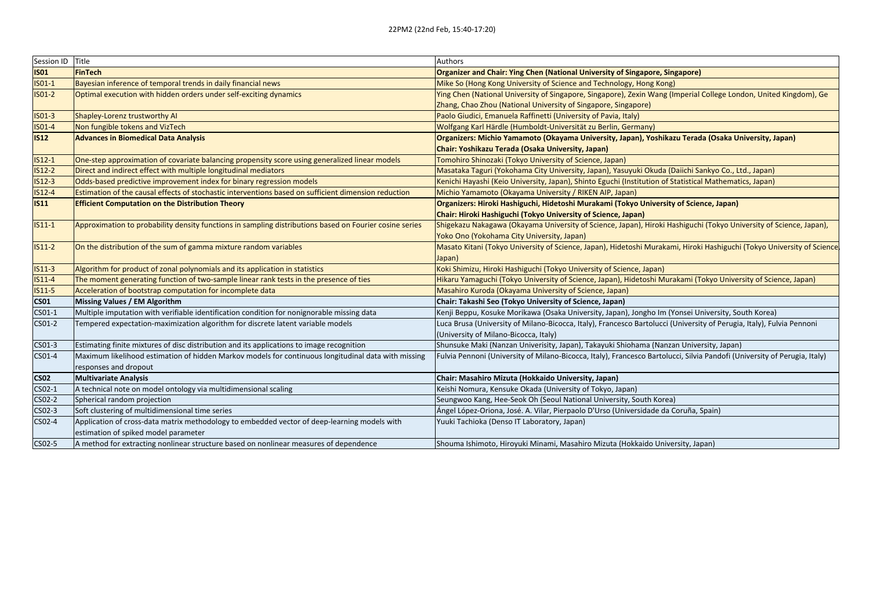| Session ID Title |                                                                                                         | Authors                                                                                                                   |
|------------------|---------------------------------------------------------------------------------------------------------|---------------------------------------------------------------------------------------------------------------------------|
| <b>ISO1</b>      | FinTech                                                                                                 | Organizer and Chair: Ying Chen (National University of Singapore, Singapore)                                              |
| $ISO1-1$         | Bayesian inference of temporal trends in daily financial news                                           | Mike So (Hong Kong University of Science and Technology, Hong Kong)                                                       |
| $ISO1-2$         | Optimal execution with hidden orders under self-exciting dynamics                                       | Ying Chen (National University of Singapore, Singapore), Zexin Wang (Imperial College London, United Kingdom), Ge         |
|                  |                                                                                                         | Zhang, Chao Zhou (National University of Singapore, Singapore)                                                            |
| $ISO1-3$         | Shapley-Lorenz trustworthy AI                                                                           | Paolo Giudici, Emanuela Raffinetti (University of Pavia, Italy)                                                           |
| <b>ISO1-4</b>    | Non fungible tokens and VizTech                                                                         | Wolfgang Karl Härdle (Humboldt-Universität zu Berlin, Germany)                                                            |
| <b>IS12</b>      | <b>Advances in Biomedical Data Analysis</b>                                                             | Organizers: Michio Yamamoto (Okayama University, Japan), Yoshikazu Terada (Osaka University, Japan)                       |
|                  |                                                                                                         | Chair: Yoshikazu Terada (Osaka University, Japan)                                                                         |
| $IS12-1$         | One-step approximation of covariate balancing propensity score using generalized linear models          | Tomohiro Shinozaki (Tokyo University of Science, Japan)                                                                   |
| $IS12-2$         | Direct and indirect effect with multiple longitudinal mediators                                         | Masataka Taguri (Yokohama City University, Japan), Yasuyuki Okuda (Daiichi Sankyo Co., Ltd., Japan)                       |
| $IS12-3$         | Odds-based predictive improvement index for binary regression models                                    | Kenichi Hayashi (Keio University, Japan), Shinto Eguchi (Institution of Statistical Mathematics, Japan)                   |
| <b>IS12-4</b>    | Estimation of the causal effects of stochastic interventions based on sufficient dimension reduction    | Michio Yamamoto (Okayama University / RIKEN AIP, Japan)                                                                   |
| <b>IS11</b>      | <b>Efficient Computation on the Distribution Theory</b>                                                 | Organizers: Hiroki Hashiguchi, Hidetoshi Murakami (Tokyo University of Science, Japan)                                    |
|                  |                                                                                                         | Chair: Hiroki Hashiguchi (Tokyo University of Science, Japan)                                                             |
| $IS11-1$         | Approximation to probability density functions in sampling distributions based on Fourier cosine series | Shigekazu Nakagawa (Okayama University of Science, Japan), Hiroki Hashiguchi (Tokyo University of Science, Japan),        |
|                  |                                                                                                         | Yoko Ono (Yokohama City University, Japan)                                                                                |
| $IS11-2$         | On the distribution of the sum of gamma mixture random variables                                        | Masato Kitani (Tokyo University of Science, Japan), Hidetoshi Murakami, Hiroki Hashiguchi (Tokyo University of Science    |
|                  |                                                                                                         | Japan)                                                                                                                    |
| $IS11-3$         | Algorithm for product of zonal polynomials and its application in statistics                            | Koki Shimizu, Hiroki Hashiguchi (Tokyo University of Science, Japan)                                                      |
| $IS11-4$         | The moment generating function of two-sample linear rank tests in the presence of ties                  | Hikaru Yamaguchi (Tokyo University of Science, Japan), Hidetoshi Murakami (Tokyo University of Science, Japan)            |
| $IS11-5$         | Acceleration of bootstrap computation for incomplete data                                               | Masahiro Kuroda (Okayama University of Science, Japan)                                                                    |
| <b>CS01</b>      | Missing Values / EM Algorithm                                                                           | Chair: Takashi Seo (Tokyo University of Science, Japan)                                                                   |
| CS01-1           | Multiple imputation with verifiable identification condition for nonignorable missing data              | Kenji Beppu, Kosuke Morikawa (Osaka University, Japan), Jongho Im (Yonsei University, South Korea)                        |
| CS01-2           | Tempered expectation-maximization algorithm for discrete latent variable models                         | Luca Brusa (University of Milano-Bicocca, Italy), Francesco Bartolucci (University of Perugia, Italy), Fulvia Pennoni     |
|                  |                                                                                                         | (University of Milano-Bicocca, Italy)                                                                                     |
| CS01-3           | Estimating finite mixtures of disc distribution and its applications to image recognition               | Shunsuke Maki (Nanzan Univerisity, Japan), Takayuki Shiohama (Nanzan University, Japan)                                   |
| CS01-4           | Maximum likelihood estimation of hidden Markov models for continuous longitudinal data with missing     | Fulvia Pennoni (University of Milano-Bicocca, Italy), Francesco Bartolucci, Silvia Pandofi (University of Perugia, Italy) |
|                  | responses and dropout                                                                                   |                                                                                                                           |
| <b>CS02</b>      | <b>Multivariate Analysis</b>                                                                            | Chair: Masahiro Mizuta (Hokkaido University, Japan)                                                                       |
| CS02-1           | A technical note on model ontology via multidimensional scaling                                         | Keishi Nomura, Kensuke Okada (University of Tokyo, Japan)                                                                 |
| CS02-2           | Spherical random projection                                                                             | Seungwoo Kang, Hee-Seok Oh (Seoul National University, South Korea)                                                       |
| CS02-3           | Soft clustering of multidimensional time series                                                         | Ángel López-Oriona, José. A. Vilar, Pierpaolo D'Urso (Universidade da Coruña, Spain)                                      |
| CS02-4           | Application of cross-data matrix methodology to embedded vector of deep-learning models with            | Yuuki Tachioka (Denso IT Laboratory, Japan)                                                                               |
|                  | estimation of spiked model parameter                                                                    |                                                                                                                           |
| CS02-5           | A method for extracting nonlinear structure based on nonlinear measures of dependence                   | Shouma Ishimoto, Hiroyuki Minami, Masahiro Mizuta (Hokkaido University, Japan)                                            |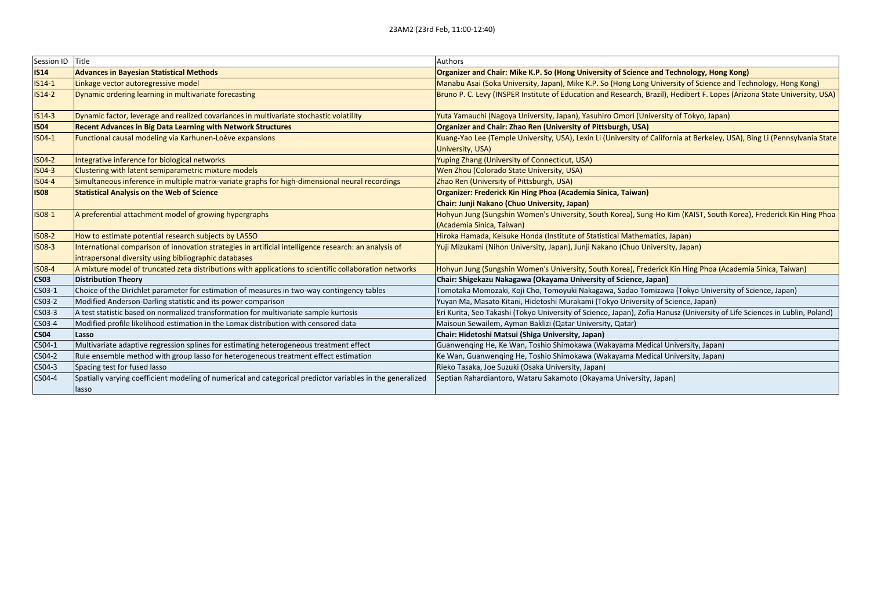| Session ID Title |                                                                                                            | Authors                                                                                                                    |
|------------------|------------------------------------------------------------------------------------------------------------|----------------------------------------------------------------------------------------------------------------------------|
| <b>IS14</b>      | <b>Advances in Bayesian Statistical Methods</b>                                                            | Organizer and Chair: Mike K.P. So (Hong University of Science and Technology, Hong Kong)                                   |
| $IS14-1$         | Linkage vector autoregressive model                                                                        | Manabu Asai (Soka University, Japan), Mike K.P. So (Hong Long University of Science and Technology, Hong Kong)             |
| $IS14-2$         | Dynamic ordering learning in multivariate forecasting                                                      | Bruno P. C. Levy (INSPER Institute of Education and Research, Brazil), Hedibert F. Lopes (Arizona State University, USA)   |
| $IS14-3$         | Dynamic factor, leverage and realized covariances in multivariate stochastic volatility                    | Yuta Yamauchi (Nagoya University, Japan), Yasuhiro Omori (University of Tokyo, Japan)                                      |
| <b>IS04</b>      | <b>Recent Advances in Big Data Learning with Network Structures</b>                                        | Organizer and Chair: Zhao Ren (University of Pittsburgh, USA)                                                              |
| IS04-1           | Functional causal modeling via Karhunen-Loève expansions                                                   | Kuang-Yao Lee (Temple University, USA), Lexin Li (University of California at Berkeley, USA), Bing Li (Pennsylvania State  |
|                  |                                                                                                            | University, USA)                                                                                                           |
| <b>ISO4-2</b>    | Integrative inference for biological networks                                                              | Yuping Zhang (University of Connecticut, USA)                                                                              |
| <b>ISO4-3</b>    | Clustering with latent semiparametric mixture models                                                       | Wen Zhou (Colorado State University, USA)                                                                                  |
| <b>ISO4-4</b>    | Simultaneous inference in multiple matrix-variate graphs for high-dimensional neural recordings            | Zhao Ren (University of Pittsburgh, USA)                                                                                   |
| <b>ISO8</b>      | <b>Statistical Analysis on the Web of Science</b>                                                          | Organizer: Frederick Kin Hing Phoa (Academia Sinica, Taiwan)                                                               |
|                  |                                                                                                            | Chair: Junji Nakano (Chuo University, Japan)                                                                               |
| <b>ISO8-1</b>    | A preferential attachment model of growing hypergraphs                                                     | Hohyun Jung (Sungshin Women's University, South Korea), Sung-Ho Kim (KAIST, South Korea), Frederick Kin Hing Phoa          |
|                  |                                                                                                            | (Academia Sinica, Taiwan)                                                                                                  |
| <b>ISO8-2</b>    | How to estimate potential research subjects by LASSO                                                       | Hiroka Hamada, Keisuke Honda (Institute of Statistical Mathematics, Japan)                                                 |
| <b>ISO8-3</b>    | International comparison of innovation strategies in artificial intelligence research: an analysis of      | Yuji Mizukami (Nihon University, Japan), Junji Nakano (Chuo University, Japan)                                             |
|                  | intrapersonal diversity using bibliographic databases                                                      |                                                                                                                            |
| <b>ISO8-4</b>    | A mixture model of truncated zeta distributions with applications to scientific collaboration networks     | Hohyun Jung (Sungshin Women's University, South Korea), Frederick Kin Hing Phoa (Academia Sinica, Taiwan)                  |
| <b>CS03</b>      | <b>Distribution Theory</b>                                                                                 | Chair: Shigekazu Nakagawa (Okayama University of Science, Japan)                                                           |
| CS03-1           | Choice of the Dirichlet parameter for estimation of measures in two-way contingency tables                 | Tomotaka Momozaki, Koji Cho, Tomoyuki Nakagawa, Sadao Tomizawa (Tokyo University of Science, Japan)                        |
| CS03-2           | Modified Anderson-Darling statistic and its power comparison                                               | Yuyan Ma, Masato Kitani, Hidetoshi Murakami (Tokyo University of Science, Japan)                                           |
| CS03-3           | A test statistic based on normalized transformation for multivariate sample kurtosis                       | Eri Kurita, Seo Takashi (Tokyo University of Science, Japan), Zofia Hanusz (University of Life Sciences in Lublin, Poland) |
| CS03-4           | Modified profile likelihood estimation in the Lomax distribution with censored data                        | Maisoun Sewailem, Ayman Baklizi (Qatar University, Qatar)                                                                  |
| <b>CS04</b>      | Lasso                                                                                                      | Chair: Hidetoshi Matsui (Shiga University, Japan)                                                                          |
| CS04-1           | Multivariate adaptive regression splines for estimating heterogeneous treatment effect                     | Guanwenging He, Ke Wan, Toshio Shimokawa (Wakayama Medical University, Japan)                                              |
| CS04-2           | Rule ensemble method with group lasso for heterogeneous treatment effect estimation                        | Ke Wan, Guanwenging He, Toshio Shimokawa (Wakayama Medical University, Japan)                                              |
| CS04-3           | Spacing test for fused lasso                                                                               | Rieko Tasaka, Joe Suzuki (Osaka University, Japan)                                                                         |
| CS04-4           | Spatially varying coefficient modeling of numerical and categorical predictor variables in the generalized | Septian Rahardiantoro, Wataru Sakamoto (Okayama University, Japan)                                                         |
|                  | lasso                                                                                                      |                                                                                                                            |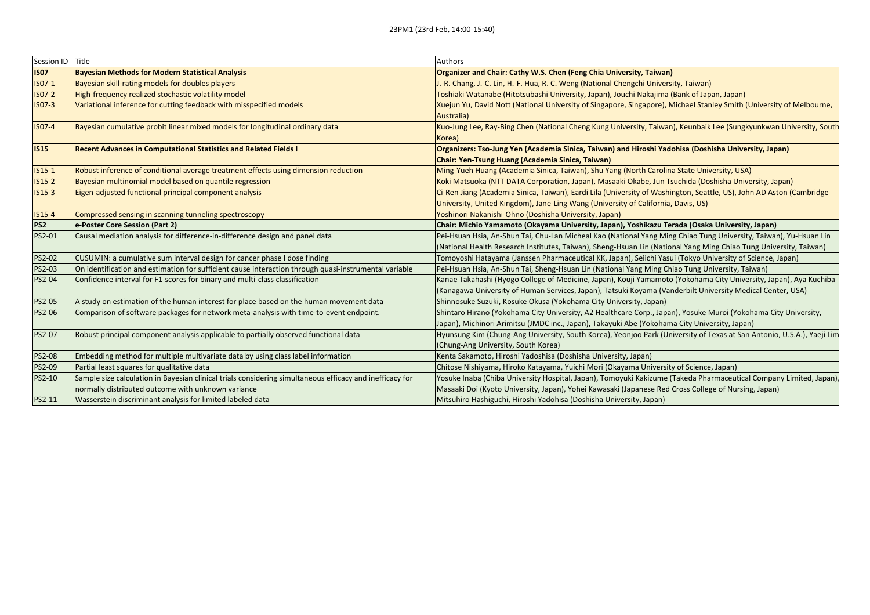| Session ID Title |                                                                                                          | Authors                                                                                                                |
|------------------|----------------------------------------------------------------------------------------------------------|------------------------------------------------------------------------------------------------------------------------|
| <b>IS07</b>      | <b>Bayesian Methods for Modern Statistical Analysis</b>                                                  | Organizer and Chair: Cathy W.S. Chen (Feng Chia University, Taiwan)                                                    |
| IS07-1           | Bayesian skill-rating models for doubles players                                                         | J.-R. Chang, J.-C. Lin, H.-F. Hua, R. C. Weng (National Chengchi University, Taiwan)                                   |
| <b>ISO7-2</b>    | High-frequency realized stochastic volatility model                                                      | Toshiaki Watanabe (Hitotsubashi University, Japan), Jouchi Nakajima (Bank of Japan, Japan)                             |
| <b>ISO7-3</b>    | Variational inference for cutting feedback with misspecified models                                      | Xuejun Yu, David Nott (National University of Singapore, Singapore), Michael Stanley Smith (University of Melbourne,   |
|                  |                                                                                                          | Australia)                                                                                                             |
| <b>IS07-4</b>    | Bayesian cumulative probit linear mixed models for longitudinal ordinary data                            | Kuo-Jung Lee, Ray-Bing Chen (National Cheng Kung University, Taiwan), Keunbaik Lee (Sungkyunkwan University, South     |
|                  |                                                                                                          | Korea)                                                                                                                 |
| <b>IS15</b>      | Recent Advances in Computational Statistics and Related Fields I                                         | Organizers: Tso-Jung Yen (Academia Sinica, Taiwan) and Hiroshi Yadohisa (Doshisha University, Japan)                   |
|                  |                                                                                                          | Chair: Yen-Tsung Huang (Academia Sinica, Taiwan)                                                                       |
| $IS15-1$         | Robust inference of conditional average treatment effects using dimension reduction                      | Ming-Yueh Huang (Academia Sinica, Taiwan), Shu Yang (North Carolina State University, USA)                             |
| $IS15-2$         | Bayesian multinomial model based on quantile regression                                                  | Koki Matsuoka (NTT DATA Corporation, Japan), Masaaki Okabe, Jun Tsuchida (Doshisha University, Japan)                  |
| $IS15-3$         | Eigen-adjusted functional principal component analysis                                                   | Ci-Ren Jiang (Academia Sinica, Taiwan), Eardi Lila (University of Washington, Seattle, US), John AD Aston (Cambridge   |
|                  |                                                                                                          | University, United Kingdom), Jane-Ling Wang (University of California, Davis, US)                                      |
| <b>IS15-4</b>    | Compressed sensing in scanning tunneling spectroscopy                                                    | Yoshinori Nakanishi-Ohno (Doshisha University, Japan)                                                                  |
| PS <sub>2</sub>  | e-Poster Core Session (Part 2)                                                                           | Chair: Michio Yamamoto (Okayama University, Japan), Yoshikazu Terada (Osaka University, Japan)                         |
| <b>PS2-01</b>    | Causal mediation analysis for difference-in-difference design and panel data                             | Pei-Hsuan Hsia, An-Shun Tai, Chu-Lan Micheal Kao (National Yang Ming Chiao Tung University, Taiwan), Yu-Hsuan Lin      |
|                  |                                                                                                          | (National Health Research Institutes, Taiwan), Sheng-Hsuan Lin (National Yang Ming Chiao Tung University, Taiwan)      |
| PS2-02           | CUSUMIN: a cumulative sum interval design for cancer phase I dose finding                                | Tomoyoshi Hatayama (Janssen Pharmaceutical KK, Japan), Seiichi Yasui (Tokyo University of Science, Japan)              |
| PS2-03           | On identification and estimation for sufficient cause interaction through quasi-instrumental variable    | Pei-Hsuan Hsia, An-Shun Tai, Sheng-Hsuan Lin (National Yang Ming Chiao Tung University, Taiwan)                        |
| PS2-04           | Confidence interval for F1-scores for binary and multi-class classification                              | Kanae Takahashi (Hyogo College of Medicine, Japan), Kouji Yamamoto (Yokohama City University, Japan), Aya Kuchiba      |
|                  |                                                                                                          | (Kanagawa University of Human Services, Japan), Tatsuki Koyama (Vanderbilt University Medical Center, USA)             |
| PS2-05           | A study on estimation of the human interest for place based on the human movement data                   | Shinnosuke Suzuki, Kosuke Okusa (Yokohama City University, Japan)                                                      |
| PS2-06           | Comparison of software packages for network meta-analysis with time-to-event endpoint.                   | Shintaro Hirano (Yokohama City University, A2 Healthcare Corp., Japan), Yosuke Muroi (Yokohama City University,        |
|                  |                                                                                                          | Japan), Michinori Arimitsu (JMDC inc., Japan), Takayuki Abe (Yokohama City University, Japan)                          |
| PS2-07           | Robust principal component analysis applicable to partially observed functional data                     | Hyunsung Kim (Chung-Ang University, South Korea), Yeonjoo Park (University of Texas at San Antonio, U.S.A.), Yaeji Lim |
|                  |                                                                                                          | (Chung-Ang University, South Korea)                                                                                    |
| <b>PS2-08</b>    | Embedding method for multiple multivariate data by using class label information                         | Kenta Sakamoto, Hiroshi Yadoshisa (Doshisha University, Japan)                                                         |
| PS2-09           | Partial least squares for qualitative data                                                               | Chitose Nishiyama, Hiroko Katayama, Yuichi Mori (Okayama University of Science, Japan)                                 |
| PS2-10           | Sample size calculation in Bayesian clinical trials considering simultaneous efficacy and inefficacy for | Yosuke Inaba (Chiba University Hospital, Japan), Tomoyuki Kakizume (Takeda Pharmaceutical Company Limited, Japan)      |
|                  | normally distributed outcome with unknown variance                                                       | Masaaki Doi (Kyoto University, Japan), Yohei Kawasaki (Japanese Red Cross College of Nursing, Japan)                   |
| PS2-11           | Wasserstein discriminant analysis for limited labeled data                                               | Mitsuhiro Hashiguchi, Hiroshi Yadohisa (Doshisha University, Japan)                                                    |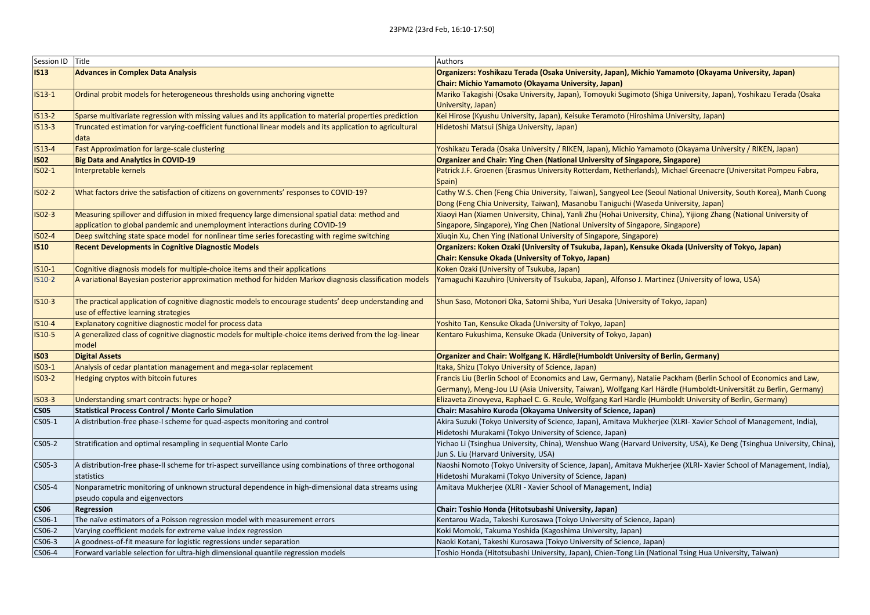| Session ID Title |                                                                                                                                                | Authors                                                                                                                                                                                                 |
|------------------|------------------------------------------------------------------------------------------------------------------------------------------------|---------------------------------------------------------------------------------------------------------------------------------------------------------------------------------------------------------|
| <b>IS13</b>      | <b>Advances in Complex Data Analysis</b>                                                                                                       | Organizers: Yoshikazu Terada (Osaka University, Japan), Michio Yamamoto (Okayama University, Japan)                                                                                                     |
|                  |                                                                                                                                                | Chair: Michio Yamamoto (Okayama University, Japan)                                                                                                                                                      |
| $IS13-1$         | Ordinal probit models for heterogeneous thresholds using anchoring vignette                                                                    | Mariko Takagishi (Osaka University, Japan), Tomoyuki Sugimoto (Shiga University, Japan), Yoshikazu Terada (Osaka                                                                                        |
|                  |                                                                                                                                                | University, Japan)                                                                                                                                                                                      |
| $IS13-2$         | Sparse multivariate regression with missing values and its application to material properties prediction                                       | Kei Hirose (Kyushu University, Japan), Keisuke Teramoto (Hiroshima University, Japan)                                                                                                                   |
| $IS13-3$         | Truncated estimation for varying-coefficient functional linear models and its application to agricultural<br>data                              | Hidetoshi Matsui (Shiga University, Japan)                                                                                                                                                              |
| $IS13-4$         | <b>Fast Approximation for large-scale clustering</b>                                                                                           | Yoshikazu Terada (Osaka University / RIKEN, Japan), Michio Yamamoto (Okayama University / RIKEN, Japan)                                                                                                 |
| <b>ISO2</b>      | <b>Big Data and Analytics in COVID-19</b>                                                                                                      | <b>Organizer and Chair: Ying Chen (National University of Singapore, Singapore)</b>                                                                                                                     |
| $ISO-1$          | Interpretable kernels                                                                                                                          | Patrick J.F. Groenen (Erasmus University Rotterdam, Netherlands), Michael Greenacre (Universitat Pompeu Fabra,<br>Spain)                                                                                |
| $ISO-2$          | What factors drive the satisfaction of citizens on governments' responses to COVID-19?                                                         | Cathy W.S. Chen (Feng Chia University, Taiwan), Sangyeol Lee (Seoul National University, South Korea), Manh Cuong<br>Dong (Feng Chia University, Taiwan), Masanobu Taniguchi (Waseda University, Japan) |
| $ISO-3$          | Measuring spillover and diffusion in mixed frequency large dimensional spatial data: method and                                                | Xiaoyi Han (Xiamen University, China), Yanli Zhu (Hohai University, China), Yijiong Zhang (National University of                                                                                       |
|                  | application to global pandemic and unemployment interactions during COVID-19                                                                   | Singapore, Singapore), Ying Chen (National University of Singapore, Singapore)                                                                                                                          |
| IS02-4           | Deep switching state space model for nonlinear time series forecasting with regime switching                                                   | Xiuqin Xu, Chen Ying (National University of Singapore, Singapore)                                                                                                                                      |
| <b>IS10</b>      | <b>Recent Developments in Cognitive Diagnostic Models</b>                                                                                      | Organizers: Koken Ozaki (University of Tsukuba, Japan), Kensuke Okada (University of Tokyo, Japan)                                                                                                      |
|                  |                                                                                                                                                | Chair: Kensuke Okada (University of Tokyo, Japan)                                                                                                                                                       |
| $IS10-1$         | Cognitive diagnosis models for multiple-choice items and their applications                                                                    | Koken Ozaki (University of Tsukuba, Japan)                                                                                                                                                              |
| IS10-2           | A variational Bayesian posterior approximation method for hidden Markov diagnosis classification models                                        | Yamaguchi Kazuhiro (University of Tsukuba, Japan), Alfonso J. Martinez (University of Iowa, USA)                                                                                                        |
| $IS10-3$         | The practical application of cognitive diagnostic models to encourage students' deep understanding and<br>use of effective learning strategies | Shun Saso, Motonori Oka, Satomi Shiba, Yuri Uesaka (University of Tokyo, Japan)                                                                                                                         |
| $IS10-4$         | Explanatory cognitive diagnostic model for process data                                                                                        | Yoshito Tan, Kensuke Okada (University of Tokyo, Japan)                                                                                                                                                 |
| IS10-5           | A generalized class of cognitive diagnostic models for multiple-choice items derived from the log-linear<br>model                              | Kentaro Fukushima, Kensuke Okada (University of Tokyo, Japan)                                                                                                                                           |
| <b>ISO3</b>      | <b>Digital Assets</b>                                                                                                                          | <b>Organizer and Chair: Wolfgang K. Härdle (Humboldt University of Berlin, Germany)</b>                                                                                                                 |
| $ISO3-1$         | Analysis of cedar plantation management and mega-solar replacement                                                                             | Itaka, Shizu (Tokyo University of Science, Japan)                                                                                                                                                       |
| $ISO3-2$         | Hedging cryptos with bitcoin futures                                                                                                           | Francis Liu (Berlin School of Economics and Law, Germany), Natalie Packham (Berlin School of Economics and Law,                                                                                         |
|                  |                                                                                                                                                | Germany), Meng-Jou LU (Asia University, Taiwan), Wolfgang Karl Härdle (Humboldt-Universität zu Berlin, Germany)                                                                                         |
| $ISO3-3$         | Understanding smart contracts: hype or hope?                                                                                                   | Elizaveta Zinovyeva, Raphael C. G. Reule, Wolfgang Karl Härdle (Humboldt University of Berlin, Germany)                                                                                                 |
| <b>CS05</b>      | <b>Statistical Process Control / Monte Carlo Simulation</b>                                                                                    | Chair: Masahiro Kuroda (Okayama University of Science, Japan)                                                                                                                                           |
| CS05-1           | A distribution-free phase-I scheme for quad-aspects monitoring and control                                                                     | Akira Suzuki (Tokyo University of Science, Japan), Amitava Mukherjee (XLRI- Xavier School of Management, India),<br>Hidetoshi Murakami (Tokyo University of Science, Japan)                             |
| CS05-2           | Stratification and optimal resampling in sequential Monte Carlo                                                                                | Yichao Li (Tsinghua University, China), Wenshuo Wang (Harvard University, USA), Ke Deng (Tsinghua University, China),                                                                                   |
| $CSO5-3$         | A distribution-free phase-II scheme for tri-aspect surveillance using combinations of three orthogonal                                         | Jun S. Liu (Harvard University, USA)<br>Naoshi Nomoto (Tokyo University of Science, Japan), Amitava Mukherjee (XLRI- Xavier School of Management, India),                                               |
|                  | statistics                                                                                                                                     | Hidetoshi Murakami (Tokyo University of Science, Japan)                                                                                                                                                 |
| CS05-4           | Nonparametric monitoring of unknown structural dependence in high-dimensional data streams using<br>pseudo copula and eigenvectors             | Amitava Mukherjee (XLRI - Xavier School of Management, India)                                                                                                                                           |
| <b>CS06</b>      | <b>Regression</b>                                                                                                                              | Chair: Toshio Honda (Hitotsubashi University, Japan)                                                                                                                                                    |
| CS06-1           | The naïve estimators of a Poisson regression model with measurement errors                                                                     | Kentarou Wada, Takeshi Kurosawa (Tokyo University of Science, Japan)                                                                                                                                    |
| CS06-2           | Varying coefficient models for extreme value index regression                                                                                  | Koki Momoki, Takuma Yoshida (Kagoshima University, Japan)                                                                                                                                               |
| CS06-3           | A goodness-of-fit measure for logistic regressions under separation                                                                            | Naoki Kotani, Takeshi Kurosawa (Tokyo University of Science, Japan)                                                                                                                                     |
| CS06-4           | Forward variable selection for ultra-high dimensional quantile regression models                                                               | Toshio Honda (Hitotsubashi University, Japan), Chien-Tong Lin (National Tsing Hua University, Taiwan)                                                                                                   |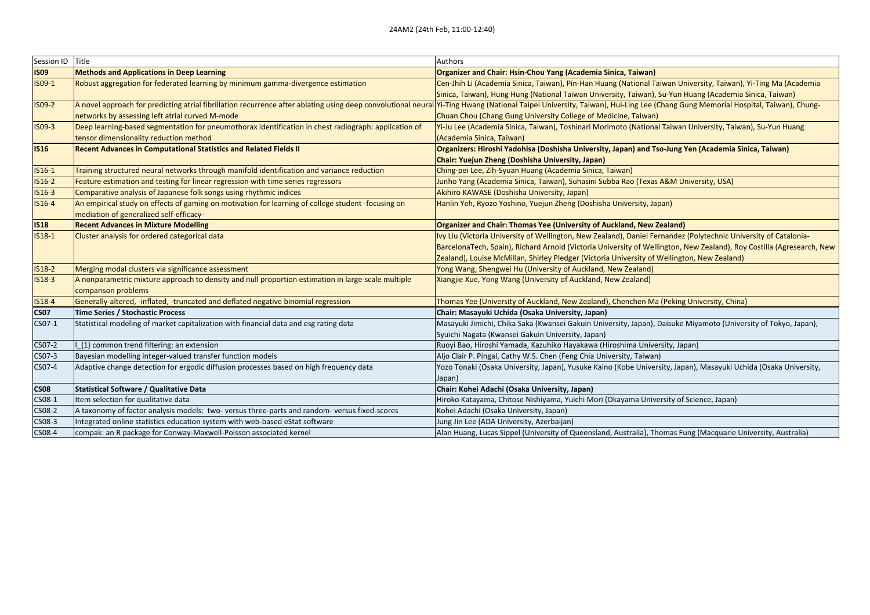| Session ID Title |                                                                                                      | Authors                                                                                                                                                                                                                       |
|------------------|------------------------------------------------------------------------------------------------------|-------------------------------------------------------------------------------------------------------------------------------------------------------------------------------------------------------------------------------|
| <b>ISO9</b>      | <b>Methods and Applications in Deep Learning</b>                                                     | Organizer and Chair: Hsin-Chou Yang (Academia Sinica, Taiwan)                                                                                                                                                                 |
| IS09-1           | Robust aggregation for federated learning by minimum gamma-divergence estimation                     | Cen-Jhih Li (Academia Sinica, Taiwan), Pin-Han Huang (National Taiwan University, Taiwan), Yi-Ting Ma (Academia                                                                                                               |
|                  |                                                                                                      | Sinica, Taiwan), Hung Hung (National Taiwan University, Taiwan), Su-Yun Huang (Academia Sinica, Taiwan)                                                                                                                       |
| IS09-2           |                                                                                                      | A novel approach for predicting atrial fibrillation recurrence after ablating using deep convolutional neural Yi-Ting Hwang (National Taipei University, Taiwan), Hui-Ling Lee (Chang Gung Memorial Hospital, Taiwan), Chung- |
|                  | networks by assessing left atrial curved M-mode                                                      | Chuan Chou (Chang Gung University College of Medicine, Taiwan)                                                                                                                                                                |
| $ISO9-3$         | Deep learning-based segmentation for pneumothorax identification in chest radiograph: application of | Yi-Ju Lee (Academia Sinica, Taiwan), Toshinari Morimoto (National Taiwan University, Taiwan), Su-Yun Huang                                                                                                                    |
|                  | tensor dimensionality reduction method                                                               | (Academia Sinica, Taiwan)                                                                                                                                                                                                     |
| <b>IS16</b>      | <b>Recent Advances in Computational Statistics and Related Fields II</b>                             | Organizers: Hiroshi Yadohisa (Doshisha University, Japan) and Tso-Jung Yen (Academia Sinica, Taiwan)                                                                                                                          |
|                  |                                                                                                      | Chair: Yuejun Zheng (Doshisha University, Japan)                                                                                                                                                                              |
| $IS16-1$         | Training structured neural networks through manifold identification and variance reduction           | Ching-pei Lee, Zih-Syuan Huang (Academia Sinica, Taiwan)                                                                                                                                                                      |
| IS16-2           | Feature estimation and testing for linear regression with time series regressors                     | Junho Yang (Academia Sinica, Taiwan), Suhasini Subba Rao (Texas A&M University, USA)                                                                                                                                          |
| $IS16-3$         | Comparative analysis of Japanese folk songs using rhythmic indices                                   | Akihiro KAWASE (Doshisha University, Japan)                                                                                                                                                                                   |
| $IS16-4$         | An empirical study on effects of gaming on motivation for learning of college student -focusing on   | Hanlin Yeh, Ryozo Yoshino, Yuejun Zheng (Doshisha University, Japan)                                                                                                                                                          |
|                  | mediation of generalized self-efficacy-                                                              |                                                                                                                                                                                                                               |
| <b>IS18</b>      | <b>Recent Advances in Mixture Modelling</b>                                                          | Organizer and Chair: Thomas Yee (University of Auckland, New Zealand)                                                                                                                                                         |
| $IS18-1$         | Cluster analysis for ordered categorical data                                                        | Ivy Liu (Victoria University of Wellington, New Zealand), Daniel Fernandez (Polytechnic University of Catalonia-                                                                                                              |
|                  |                                                                                                      | BarcelonaTech, Spain), Richard Arnold (Victoria University of Wellington, New Zealand), Roy Costilla (Agresearch, New                                                                                                         |
|                  |                                                                                                      | Zealand), Louise McMillan, Shirley Pledger (Victoria University of Wellington, New Zealand)                                                                                                                                   |
| <b>IS18-2</b>    | Merging modal clusters via significance assessment                                                   | Yong Wang, Shengwei Hu (University of Auckland, New Zealand)                                                                                                                                                                  |
| <b>IS18-3</b>    | A nonparametric mixture approach to density and null proportion estimation in large-scale multiple   | Xiangjie Xue, Yong Wang (University of Auckland, New Zealand)                                                                                                                                                                 |
|                  | comparison problems                                                                                  |                                                                                                                                                                                                                               |
| IS18-4           | Generally-altered, -inflated, -truncated and deflated negative binomial regression                   | Thomas Yee (University of Auckland, New Zealand), Chenchen Ma (Peking University, China)                                                                                                                                      |
| <b>CS07</b>      | Time Series / Stochastic Process                                                                     | Chair: Masayuki Uchida (Osaka University, Japan)                                                                                                                                                                              |
| CS07-1           | Statistical modeling of market capitalization with financial data and esg rating data                | Masayuki Jimichi, Chika Saka (Kwansei Gakuin University, Japan), Daisuke Miyamoto (University of Tokyo, Japan),                                                                                                               |
|                  |                                                                                                      | Syuichi Nagata (Kwansei Gakuin University, Japan)                                                                                                                                                                             |
| CS07-2           | {1} common trend filtering: an extension                                                             | Ruoyi Bao, Hiroshi Yamada, Kazuhiko Hayakawa (Hiroshima University, Japan)                                                                                                                                                    |
| CS07-3           | Bayesian modelling integer-valued transfer function models                                           | Aljo Clair P. Pingal, Cathy W.S. Chen (Feng Chia University, Taiwan)                                                                                                                                                          |
| CS07-4           | Adaptive change detection for ergodic diffusion processes based on high frequency data               | Yozo Tonaki (Osaka University, Japan), Yusuke Kaino (Kobe University, Japan), Masayuki Uchida (Osaka University,                                                                                                              |
|                  |                                                                                                      | Japan)                                                                                                                                                                                                                        |
| <b>CS08</b>      | <b>Statistical Software / Qualitative Data</b>                                                       | Chair: Kohei Adachi (Osaka University, Japan)                                                                                                                                                                                 |
| CS08-1           | Item selection for qualitative data                                                                  | Hiroko Katayama, Chitose Nishiyama, Yuichi Mori (Okayama University of Science, Japan)                                                                                                                                        |
| CS08-2           | A taxonomy of factor analysis models: two-versus three-parts and random-versus fixed-scores          | Kohei Adachi (Osaka University, Japan)                                                                                                                                                                                        |
| CS08-3           | Integrated online statistics education system with web-based eStat software                          | Jung Jin Lee (ADA University, Azerbaijan)                                                                                                                                                                                     |
| CS08-4           | compak: an R package for Conway-Maxwell-Poisson associated kernel                                    | Alan Huang, Lucas Sippel (University of Queensland, Australia), Thomas Fung (Macquarie University, Australia)                                                                                                                 |